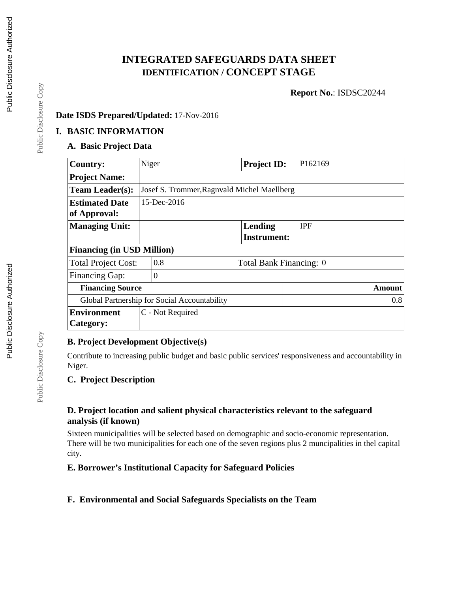# **INTEGRATED SAFEGUARDS DATA SHEET IDENTIFICATION / CONCEPT STAGE**

**Report No.**: ISDSC20244

### **Date ISDS Prepared/Updated:** 17-Nov-2016

#### **I. BASIC INFORMATION**

### **A. Basic Project Data**

| <b>Country:</b>                   | Niger                                       |                                              | <b>Project ID:</b> | P162169                 |  |  |  |
|-----------------------------------|---------------------------------------------|----------------------------------------------|--------------------|-------------------------|--|--|--|
| <b>Project Name:</b>              |                                             |                                              |                    |                         |  |  |  |
| <b>Team Leader(s):</b>            | Josef S. Trommer, Ragnvald Michel Maellberg |                                              |                    |                         |  |  |  |
| <b>Estimated Date</b>             | $15$ -Dec-2016                              |                                              |                    |                         |  |  |  |
| of Approval:                      |                                             |                                              |                    |                         |  |  |  |
| <b>Managing Unit:</b>             |                                             |                                              | Lending            | <b>IPF</b>              |  |  |  |
|                                   |                                             |                                              | <b>Instrument:</b> |                         |  |  |  |
| <b>Financing (in USD Million)</b> |                                             |                                              |                    |                         |  |  |  |
| <b>Total Project Cost:</b>        |                                             | 0.8                                          |                    | Total Bank Financing: 0 |  |  |  |
| <b>Financing Gap:</b>             |                                             | $\overline{0}$                               |                    |                         |  |  |  |
| <b>Financing Source</b>           |                                             |                                              |                    | Amount                  |  |  |  |
|                                   |                                             | Global Partnership for Social Accountability |                    | 0.8                     |  |  |  |
| <b>Environment</b>                |                                             | C - Not Required                             |                    |                         |  |  |  |
| Category:                         |                                             |                                              |                    |                         |  |  |  |

#### **B. Project Development Objective(s)**

Contribute to increasing public budget and basic public services' responsiveness and accountability in Niger.

#### **C. Project Description**

#### **D. Project location and salient physical characteristics relevant to the safeguard analysis (if known)**

Sixteen municipalities will be selected based on demographic and socio-economic representation. There will be two municipalities for each one of the seven regions plus 2 muncipalities in thel capital city.

### **E. Borrower's Institutional Capacity for Safeguard Policies**

### **F. Environmental and Social Safeguards Specialists on the Team**

Public Disclosure Copy

Public Disclosure Copy

Public Disclosure Copy

Public Disclosure Copy